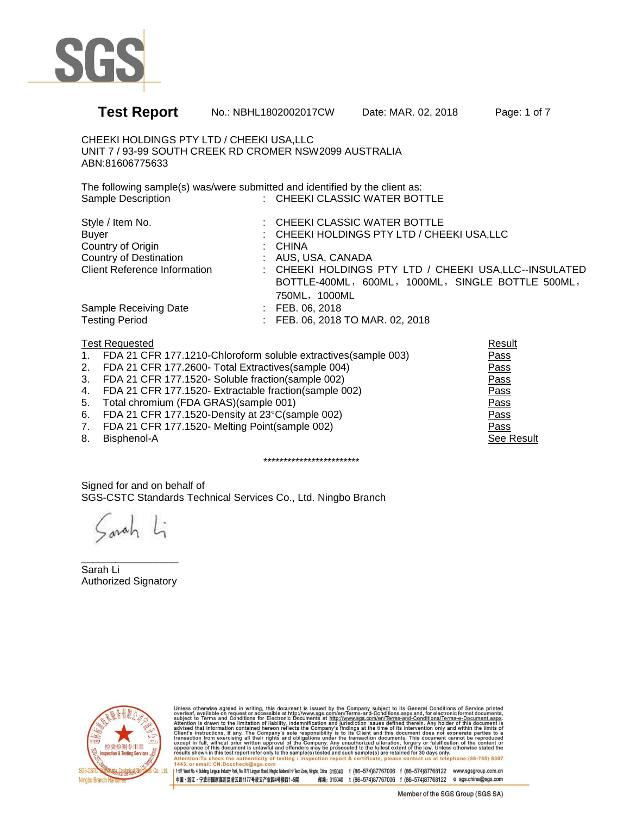

## **Test Report** No.: NBHL1802002017CW Date: MAR. 02, 2018 Page: 1 of 7 CHEEKI HOLDINGS PTY LTD / CHEEKI USA,LLC UNIT 7 / 93-99 SOUTH CREEK RD CROMER NSW2099 AUSTRALIA ABN:81606775633 The following sample(s) was/were submitted and identified by the client as: Sample Description : CHEEKI CLASSIC WATER BOTTLE

| : CHEEKI CLASSIC WATER BOTTLE                          |
|--------------------------------------------------------|
| : CHEEKI HOLDINGS PTY LTD / CHEEKI USA, LLC            |
| : CHINA                                                |
| : AUS, USA, CANADA                                     |
| : CHEEKI HOLDINGS PTY LTD / CHEEKI USA, LLC--INSULATED |
| BOTTLE-400ML, 600ML, 1000ML, SINGLE BOTTLE 500ML,      |
| 750ML, 1000ML                                          |
| $\therefore$ FEB. 06, 2018                             |
| : FEB. 06, 2018 TO MAR. 02, 2018                       |
|                                                        |

|                | <b>Test Requested</b>                                          | Result     |
|----------------|----------------------------------------------------------------|------------|
| $\mathbf{1}$ . | FDA 21 CFR 177.1210-Chloroform soluble extractives(sample 003) | Pass       |
| 2.             | FDA 21 CFR 177.2600- Total Extractives (sample 004)            | Pass       |
| 3.             | FDA 21 CFR 177.1520- Soluble fraction(sample 002)              | Pass       |
| 4.             | FDA 21 CFR 177.1520- Extractable fraction (sample 002)         | Pass       |
| 5.             | Total chromium (FDA GRAS)(sample 001)                          | Pass       |
| 6.             | FDA 21 CFR 177.1520-Density at 23°C(sample 002)                | Pass       |
| 7.             | FDA 21 CFR 177.1520- Melting Point(sample 002)                 | Pass       |
| 8.             | Bisphenol-A                                                    | See Result |
|                |                                                                |            |

\*\*\*\*\*\*\*\*\*\*\*\*\*\*\*\*\*\*\*\*\*\*\*\*

Signed for and on behalf of SGS-CSTC Standards Technical Services Co., Ltd. Ningbo Branch

\_\_\_\_\_\_\_\_\_\_\_\_\_\_\_\_\_ Sarah Li Authorized Signatory



Unless otherwise agreed in writing, this document is issued by the Company subject to its General Conditions of Service printed overleaf, available on request or accessible at http://www.ggs.com/en/Terms-and-Conditions.as nail: CN.Doccheck@sgs  $443$ 

1 1-5F West No. 4 Building, Lingun Industry Park, No.1177 Lingun Read, Ningbo National Hi-Tech Zone, Ningbo, China 315040 t (86-574)87767006 f (86-574)87768122 www.sgsgroup.com.cn 中国·浙江·宁波市国家高新区凌云路1177号凌云产业国4号楼西1-5层 邮编: 315040 t (86-574)87767006 f (86-574)87768122 e sgs.china@sgs.com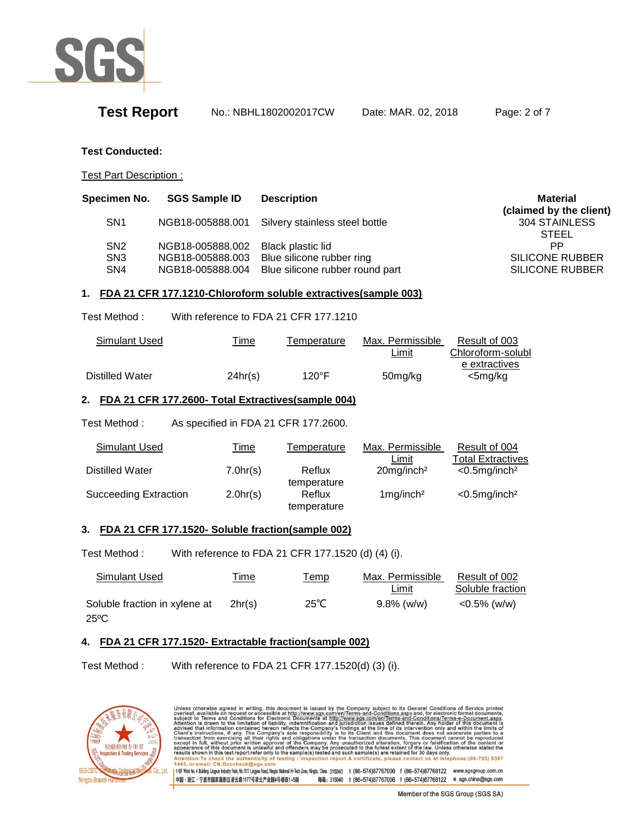

**Test Report** No.: NBHL1802002017CW Date: MAR. 02, 2018 Page: 2 of 7

#### **Test Conducted:**

Test Part Description :

| Specimen No.                                          | <b>SGS Sample ID</b>                                     | <b>Description</b>                                                                | Material                                                      |
|-------------------------------------------------------|----------------------------------------------------------|-----------------------------------------------------------------------------------|---------------------------------------------------------------|
| SN <sub>1</sub>                                       | NGB18-005888.001                                         | Silvery stainless steel bottle                                                    | (claimed by the client)<br>304 STAINLESS<br><b>STEEL</b>      |
| SN <sub>2</sub><br>SN <sub>3</sub><br>SN <sub>4</sub> | NGB18-005888.002<br>NGB18-005888.003<br>NGB18-005888.004 | Black plastic lid<br>Blue silicone rubber ring<br>Blue silicone rubber round part | <b>PP</b><br><b>SILICONE RUBBER</b><br><b>SILICONE RUBBER</b> |

### **1. FDA 21 CFR 177.1210-Chloroform soluble extractives(sample 003)**

Test Method : With reference to FDA 21 CFR 177.1210

| Simulant Used   | <u>Time</u> | Temperature     | Max. Permissible | Result of 003     |
|-----------------|-------------|-----------------|------------------|-------------------|
|                 |             |                 | ∟imit            | Chloroform-solubl |
|                 |             |                 |                  | e extractives     |
| Distilled Water | 24hr(s)     | $120^{\circ}$ F | 50mg/kg          | <5mg/kg           |

#### **2. FDA 21 CFR 177.2600- Total Extractives(sample 004)**

Test Method : As specified in FDA 21 CFR 177.2600.

| Simulant Used                | <u>Time</u> | Temperature           | Max. Permissible          | Result of 004               |
|------------------------------|-------------|-----------------------|---------------------------|-----------------------------|
|                              |             |                       | Limit                     | <b>Total Extractives</b>    |
| Distilled Water              | 7.0hr(s)    | Reflux<br>temperature | $20$ mg/inch <sup>2</sup> | $<$ 0.5mg/inch <sup>2</sup> |
| <b>Succeeding Extraction</b> | 2.0hr(s)    | Reflux<br>temperature | $1$ mg/inch <sup>2</sup>  | $<$ 0.5mg/inch <sup>2</sup> |

#### **3. FDA 21 CFR 177.1520- Soluble fraction(sample 002)**

Test Method : With reference to FDA 21 CFR 177.1520 (d) (4) (i).

| Simulant Used                 | <u>Time</u> | <u> Temp</u>   | Max. Permissible | Result of 002    |
|-------------------------------|-------------|----------------|------------------|------------------|
|                               |             |                | Limit            | Soluble fraction |
| Soluble fraction in xylene at | 2hr(s)      | $25^{\circ}$ C | $9.8\%$ (w/w)    | $<$ 0.5% (w/w)   |
| $25^{\circ}$ C                |             |                |                  |                  |

### **4. FDA 21 CFR 177.1520- Extractable fraction(sample 002)**

Test Method : With reference to FDA 21 CFR 177.1520(d) (3) (i).



Unless otherwise agreed in writing, this document is issued by the Company subject to its General Conditions of Service printed<br>overleaf, available on request or accessible at http://www.sgs.com/en/Terms-and-Conditions.as Attention: To check the authe nticity of testing ection report & certificate, please contact us at telephone: (86-755) 8307 nail: CN.Doccheck@sgs  $443$ 1 1-5F West No. 4 Building, Lingun Industry Park, No.1177 Lingun Read, Ningbo National Hi-Tech Zone, Ningbo, China 315040 t (86-574)87767006 f (86-574)87768122 www.sgsgroup.com.cn 中国·浙江·宁波市国家高新区凌云路1177号凌云产业国4号楼西1-5层 邮编: 315040 t (86-574)87767006 f (86-574)87768122 e sgs.china@sgs.com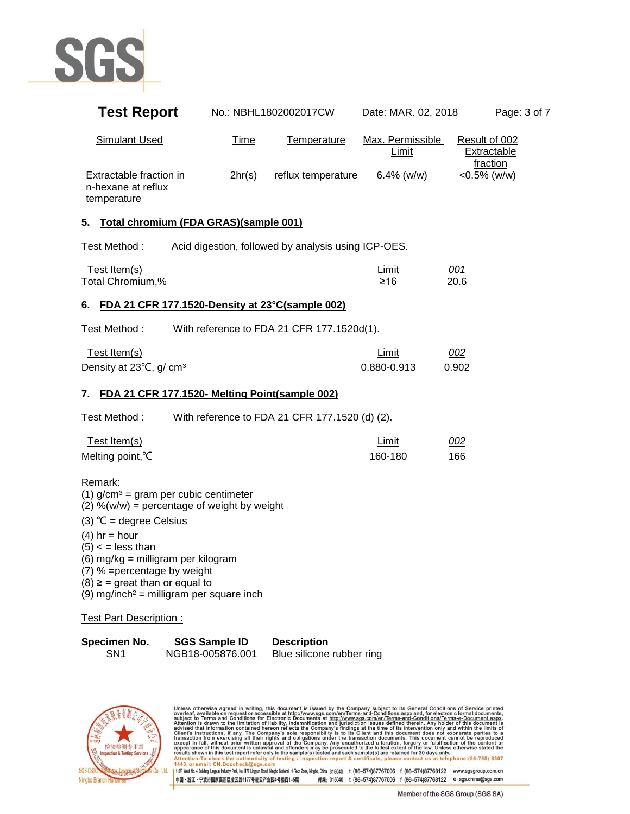

| <b>Test Report</b>                                                                                                                                                                                                                                                                                                                                                           |                                          | No.: NBHL1802002017CW                               | Date: MAR. 02, 2018         | Page: 3 of 7                                    |
|------------------------------------------------------------------------------------------------------------------------------------------------------------------------------------------------------------------------------------------------------------------------------------------------------------------------------------------------------------------------------|------------------------------------------|-----------------------------------------------------|-----------------------------|-------------------------------------------------|
| <b>Simulant Used</b>                                                                                                                                                                                                                                                                                                                                                         | <b>Time</b>                              | Temperature                                         | Max. Permissible<br>Limit   | Result of 002<br><b>Extractable</b><br>fraction |
| Extractable fraction in<br>n-hexane at reflux<br>temperature                                                                                                                                                                                                                                                                                                                 | 2hr(s)                                   | reflux temperature                                  | $6.4\%$ (w/w)               | $<$ 0.5% (w/w)                                  |
| Total chromium (FDA GRAS)(sample 001)<br>5.                                                                                                                                                                                                                                                                                                                                  |                                          |                                                     |                             |                                                 |
| Test Method:                                                                                                                                                                                                                                                                                                                                                                 |                                          | Acid digestion, followed by analysis using ICP-OES. |                             |                                                 |
| Test Item(s)<br>Total Chromium,%                                                                                                                                                                                                                                                                                                                                             |                                          |                                                     | <b>Limit</b><br>≥16         | <u>001</u><br>20.6                              |
| 6.                                                                                                                                                                                                                                                                                                                                                                           |                                          | FDA 21 CFR 177.1520-Density at 23°C(sample 002)     |                             |                                                 |
| Test Method:                                                                                                                                                                                                                                                                                                                                                                 |                                          | With reference to FDA 21 CFR 177.1520d(1).          |                             |                                                 |
| Test Item(s)<br>Density at 23°C, g/ cm <sup>3</sup>                                                                                                                                                                                                                                                                                                                          |                                          |                                                     | <b>Limit</b><br>0.880-0.913 | 002<br>0.902                                    |
| 7.                                                                                                                                                                                                                                                                                                                                                                           |                                          | FDA 21 CFR 177.1520- Melting Point(sample 002)      |                             |                                                 |
| Test Method:                                                                                                                                                                                                                                                                                                                                                                 |                                          | With reference to FDA 21 CFR 177.1520 (d) (2).      |                             |                                                 |
| Test Item(s)<br>Melting point, °C                                                                                                                                                                                                                                                                                                                                            |                                          |                                                     | <b>Limit</b><br>160-180     | 002<br>166                                      |
| Remark:<br>(1) $g/cm^3$ = gram per cubic centimeter<br>$(2)$ %(w/w) = percentage of weight by weight<br>(3) $°C = degree Celsius$<br>$(4)$ hr = hour<br>$(5) <$ = less than<br>(6) mg/kg = milligram per kilogram<br>(7) % = percentage by weight<br>$(8) \geq$ = great than or equal to<br>$(9)$ mg/inch <sup>2</sup> = milligram per square inch<br>Test Part Description: |                                          |                                                     |                             |                                                 |
| Specimen No.<br>SN <sub>1</sub>                                                                                                                                                                                                                                                                                                                                              | <b>SGS Sample ID</b><br>NGB18-005876.001 | <b>Description</b><br>Blue silicone rubber ring     |                             |                                                 |



Unless otherwise agreed in writing, this document is issued by the Company subject to its General Conditions of Service printed<br>subject to Testing and Conditions for Electron, The Company and Conditions agreed of the dete 1 1-5F West No. 4 Building, Lingun Industry Park, No.1177 Lingun Road, Ningbo National Hi-Tech Zone, Ningbo, China 315040 t (86-574)87767006 f (86-574)87768122 www.sgsgroup.com.cn 中国·浙江·宁波市国家高新区凌云路1177号凌云产业园4号楼西1-5层 邮编: 315040 t (86-574)87767006 f (86-574)87768122 e sgs.china@sgs.com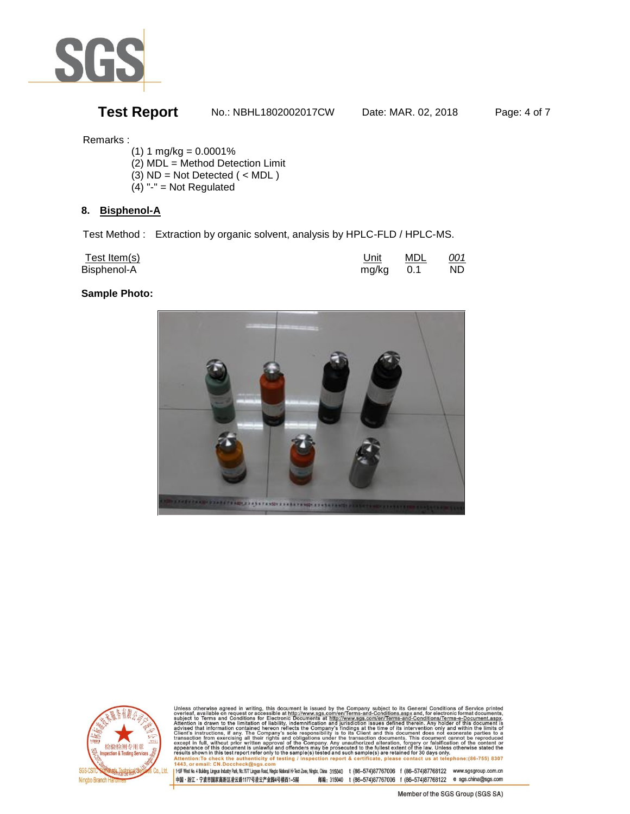

## **Test Report** No.: NBHL1802002017CW Date: MAR. 02, 2018 Page: 4 of 7

### Remarks :

- $(1) 1 mg/kg = 0.0001%$
- (2) MDL = Method Detection Limit
- (3) ND = Not Detected ( < MDL )
- $(4)$  "-" = Not Regulated

### **8. Bisphenol-A**

Test Method : Extraction by organic solvent, analysis by HPLC-FLD / HPLC-MS.

| Test Item(s) | Unit        | MDL | 001 |
|--------------|-------------|-----|-----|
| Bisphenol-A  | $mg/kg$ 0.1 |     | ND. |

### **Sample Photo:**





Unless otherwise agreed in writing, this document is issued by the Company subject to its General Conditions of Service printed<br>subject to Terms and Conditions for Service printed while the Company subject to its General ntion: To check the authenticity of testing / ction report & certificate, please contact us at telephone: (86-755) 8307 nail: CN.Doccheck@sgs  $443$ 

1 +5F West No. 4 Building, Lingun Industy Park, No.1177 Lingun Road, Ningbo National Hi-Tech Zone, Ningbo, China 315040 t (86-574)87767006 f (86-574)87768122 www.sgsgroup.com.cn 中国·浙江·宁波市国家高新区凌云路1177号凌云产业国4号楼西1-5层 邮编: 315040 t (86-574)87767006 f (86-574)87768122 e sgs.china@sgs.com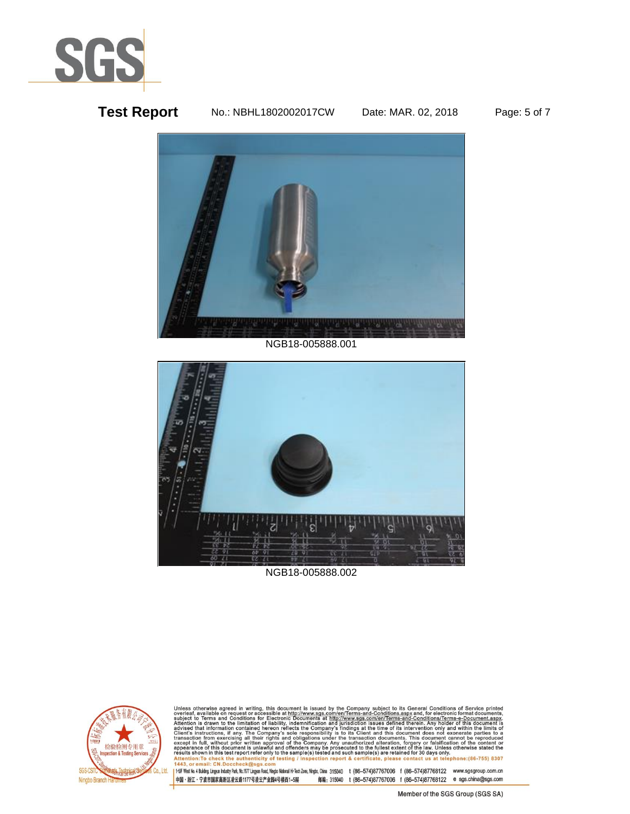

## **Test Report** No.: NBHL1802002017CW Date: MAR. 02, 2018 Page: 5 of 7



NGB18-005888.001



NGB18-005888.002

![](_page_4_Picture_7.jpeg)

Unless otherwise agreed in writing, this document is issued by the Company subject to its General Conditions of Service printed overleaf, available on request or accessible at http://www.sgs.com/en/Terms-and-Conditions.asp ail: CN.Doccheck@sgs  $443$ 

1 1-5F West No. 4 Building, Lingun Industry Park, No.1177 Lingun Road, Ningbo National Hi-Tech Zone, Ningbo, China 315040 t (86-574)87767006 f (86-574)87768122 www.sgsgroup.com.cn 中国·浙江·宁波市国家高新区凌云路1177号凌云产业园4号楼西1-5层 邮编: 315040 t (86-574)87767006 f (86-574)87768122 e sgs.china@sgs.com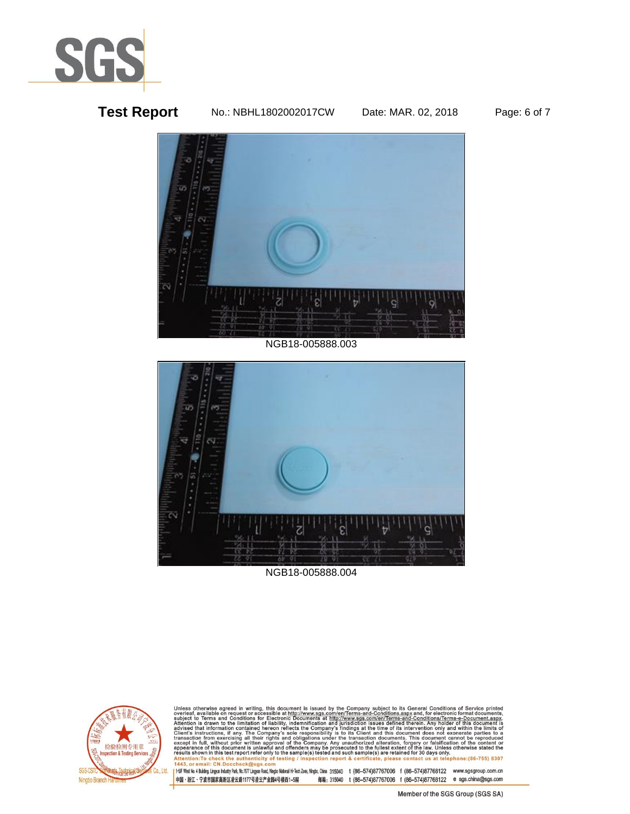![](_page_5_Picture_0.jpeg)

## **Test Report** No.: NBHL1802002017CW Date: MAR. 02, 2018 Page: 6 of 7

![](_page_5_Picture_5.jpeg)

#### NGB18-005888.003

![](_page_5_Picture_7.jpeg)

NGB18-005888.004

![](_page_5_Picture_9.jpeg)

Unless otherwise agreed in writing, this document is issued by the Company subject to its General Conditions of Service printed overleaf, available on request or accessible at http://www.sgs.com/en/Terms-and-Conditions.asp 1443 nail: CN.Doccheck@sgs

1 1-5F West No. 4 Building, Lingun Industry Park, No.1177 Lingun Road, Ningbo National Hi-Tech Zone, Ningbo, China 315040 t (86-574)87767006 f (86-574)87768122 www.sgsgroup.com.cn 中国·浙江·宁波市国家高新区凌云路1177号凌云产业园4号楼西1-5层 邮编: 315040 t (86-574)87767006 f (86-574)87768122 e sgs.china@sgs.com